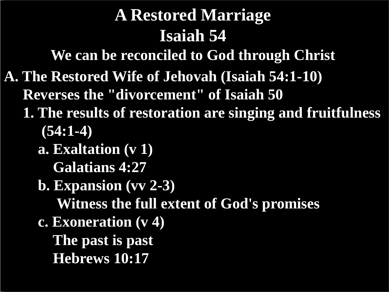**We can be reconciled to God through Christ**

**A. The Restored Wife of Jehovah (Isaiah 54:1-10)**

 **Reverses the "divorcement" of Isaiah 50**

- **1. The results of restoration are singing and fruitfulness (54:1-4)**
	- **a. Exaltation (v 1)** 
		- **Galatians 4:27**
	- **b. Expansion (vv 2-3)**

 **Witness the full extent of God's promises**

 **c. Exoneration (v 4)** 

 **The past is past Hebrews 10:17**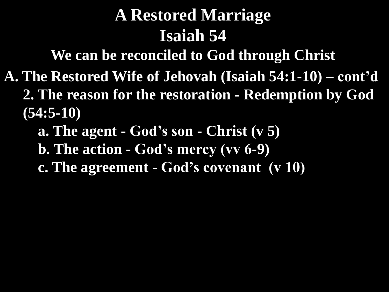**We can be reconciled to God through Christ**

- **A. The Restored Wife of Jehovah (Isaiah 54:1-10) – cont'd 2. The reason for the restoration - Redemption by God (54:5-10)**
	- **a. The agent - God's son - Christ (v 5)**
	- **b. The action - God's mercy (vv 6-9)**
	- **c. The agreement - God's covenant (v 10)**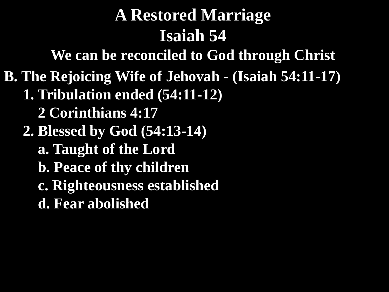**We can be reconciled to God through Christ**

**B. The Rejoicing Wife of Jehovah - (Isaiah 54:11-17)**

- **1. Tribulation ended (54:11-12)**
	- **2 Corinthians 4:17**
- **2. Blessed by God (54:13-14)**
	- **a. Taught of the Lord**
	- **b. Peace of thy children**
	- **c. Righteousness established**
	- **d. Fear abolished**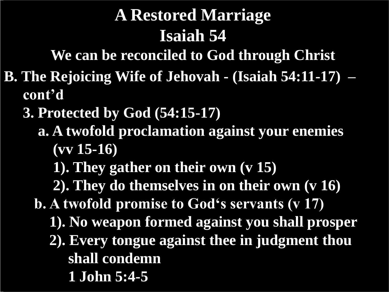**We can be reconciled to God through Christ**

- **B. The Rejoicing Wife of Jehovah - (Isaiah 54:11-17) – cont'd**
	- **3. Protected by God (54:15-17)**
		- **a. A twofold proclamation against your enemies (vv 15-16)**
			- **1). They gather on their own (v 15)**
			- **2). They do themselves in on their own (v 16)**
		- **b. A twofold promise to God's servants (v 17)**
			- **1). No weapon formed against you shall prosper**
			- **2). Every tongue against thee in judgment thou shall condemn**
				- **1 John 5:4-5**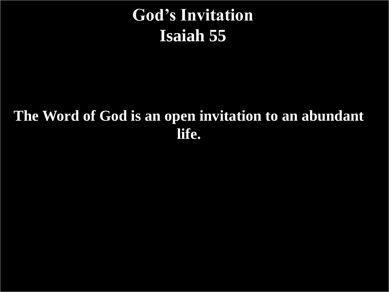## **God's Invitation Isaiah 55**

#### **The Word of God is an open invitation to an abundant life.**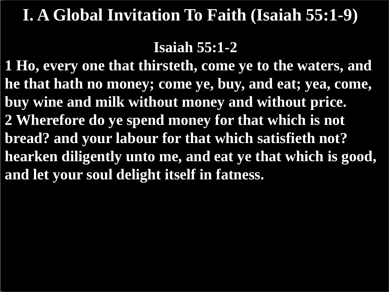#### **Isaiah 55:1-2**

**1 Ho, every one that thirsteth, come ye to the waters, and he that hath no money; come ye, buy, and eat; yea, come, buy wine and milk without money and without price. 2 Wherefore do ye spend money for that which is not bread? and your labour for that which satisfieth not? hearken diligently unto me, and eat ye that which is good, and let your soul delight itself in fatness.**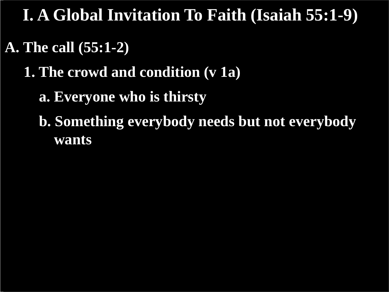#### **A. The call (55:1-2)**

#### **1. The crowd and condition (v 1a)**

 **a. Everyone who is thirsty**

 **b. Something everybody needs but not everybody wants**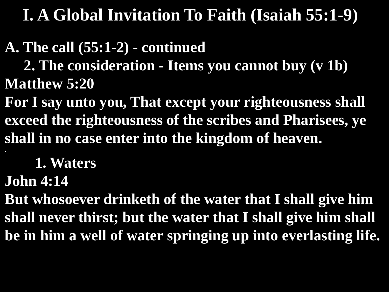#### **A. The call (55:1-2) - continued**

 **2. The consideration - Items you cannot buy (v 1b) Matthew 5:20**

**For I say unto you, That except your righteousness shall exceed the righteousness of the scribes and Pharisees, ye shall in no case enter into the kingdom of heaven. .**

 **1. Waters**

**John 4:14**

**But whosoever drinketh of the water that I shall give him shall never thirst; but the water that I shall give him shall be in him a well of water springing up into everlasting life.**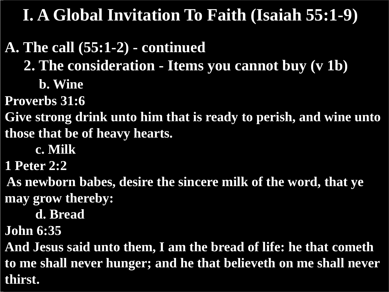#### **A. The call (55:1-2) - continued**

 **2. The consideration - Items you cannot buy (v 1b)** 

 **b. Wine**

**Proverbs 31:6**

**Give strong drink unto him that is ready to perish, and wine unto those that be of heavy hearts.**

 **c. Milk**

**1 Peter 2:2**

**As newborn babes, desire the sincere milk of the word, that ye may grow thereby:**

 **d. Bread**

**John 6:35**

**And Jesus said unto them, I am the bread of life: he that cometh to me shall never hunger; and he that believeth on me shall never thirst.**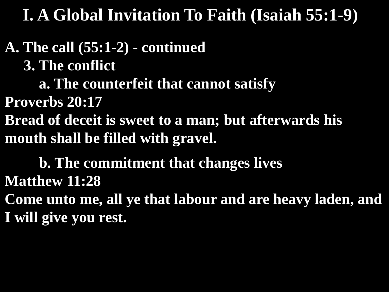**A. The call (55:1-2) - continued 3. The conflict a. The counterfeit that cannot satisfy Proverbs 20:17 Bread of deceit is sweet to a man; but afterwards his mouth shall be filled with gravel. b. The commitment that changes lives**

**Matthew 11:28 Come unto me, all ye that labour and are heavy laden, and I will give you rest.**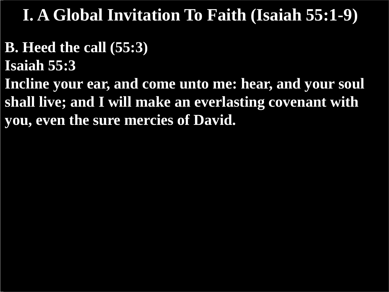- **B. Heed the call (55:3)**
- **Isaiah 55:3**
- **Incline your ear, and come unto me: hear, and your soul shall live; and I will make an everlasting covenant with you, even the sure mercies of David.**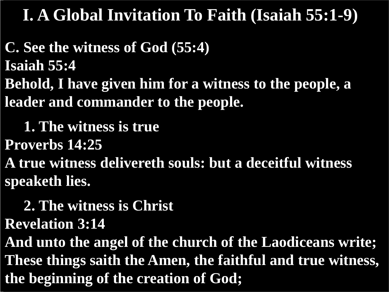**C. See the witness of God (55:4) Isaiah 55:4 Behold, I have given him for a witness to the people, a leader and commander to the people.**

 **1. The witness is true**

**Proverbs 14:25**

**A true witness delivereth souls: but a deceitful witness speaketh lies.**

 **2. The witness is Christ**

**Revelation 3:14**

**And unto the angel of the church of the Laodiceans write; These things saith the Amen, the faithful and true witness, the beginning of the creation of God;**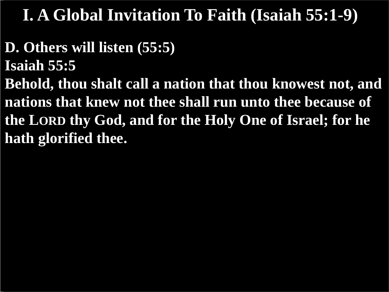- **D. Others will listen (55:5)**
- **Isaiah 55:5**
- **Behold, thou shalt call a nation that thou knowest not, and nations that knew not thee shall run unto thee because of the LORD thy God, and for the Holy One of Israel; for he hath glorified thee.**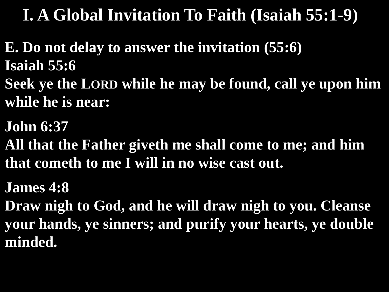- **E. Do not delay to answer the invitation (55:6) Isaiah 55:6**
- **Seek ye the LORD while he may be found, call ye upon him while he is near:**
- **John 6:37**
- **All that the Father giveth me shall come to me; and him that cometh to me I will in no wise cast out.**
- **James 4:8**
- **Draw nigh to God, and he will draw nigh to you. Cleanse your hands, ye sinners; and purify your hearts, ye double minded.**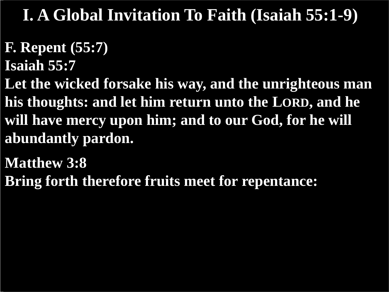- **F. Repent (55:7)**
- **Isaiah 55:7**
- **Let the wicked forsake his way, and the unrighteous man his thoughts: and let him return unto the LORD, and he will have mercy upon him; and to our God, for he will abundantly pardon.**
- **Matthew 3:8**
- **Bring forth therefore fruits meet for repentance:**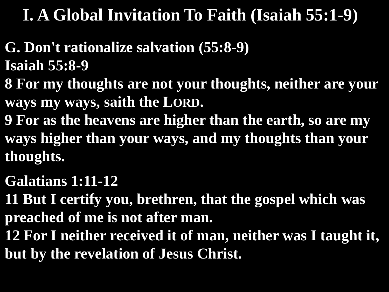- **G. Don't rationalize salvation (55:8-9) Isaiah 55:8-9**
- **8 For my thoughts are not your thoughts, neither are your ways my ways, saith the LORD.**
- **9 For as the heavens are higher than the earth, so are my ways higher than your ways, and my thoughts than your thoughts.**
- **Galatians 1:11-12**
- **11 But I certify you, brethren, that the gospel which was preached of me is not after man.**
- **12 For I neither received it of man, neither was I taught it, but by the revelation of Jesus Christ.**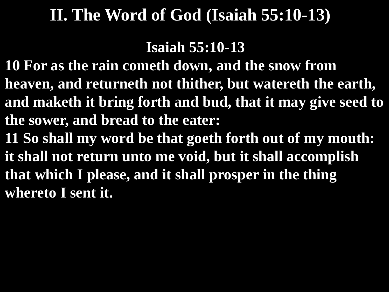**Isaiah 55:10-13**

**10 For as the rain cometh down, and the snow from heaven, and returneth not thither, but watereth the earth, and maketh it bring forth and bud, that it may give seed to the sower, and bread to the eater: 11 So shall my word be that goeth forth out of my mouth: it shall not return unto me void, but it shall accomplish that which I please, and it shall prosper in the thing** 

**whereto I sent it.**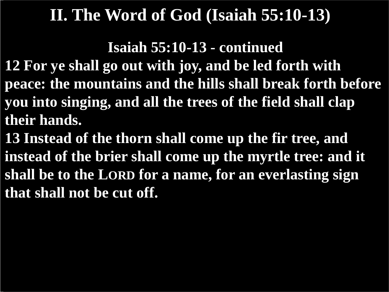**Isaiah 55:10-13 - continued**

- **12 For ye shall go out with joy, and be led forth with peace: the mountains and the hills shall break forth before you into singing, and all the trees of the field shall clap their hands.**
- **13 Instead of the thorn shall come up the fir tree, and instead of the brier shall come up the myrtle tree: and it shall be to the LORD for a name, for an everlasting sign that shall not be cut off.**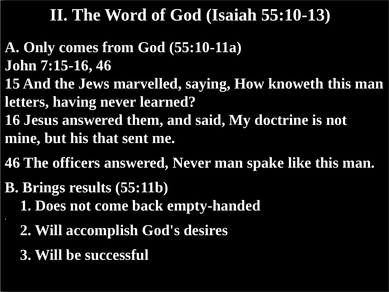- **A. Only comes from God (55:10-11a) John 7:15-16, 46**
- **15 And the Jews marvelled, saying, How knoweth this man letters, having never learned?**
- **16 Jesus answered them, and said, My doctrine is not**
- **mine, but his that sent me.**
- **46 The officers answered, Never man spake like this man.**
- **B. Brings results (55:11b)**
	- **1. Does not come back empty-handed**
	- **2. Will accomplish God's desires**
	- **3. Will be successful**

**.**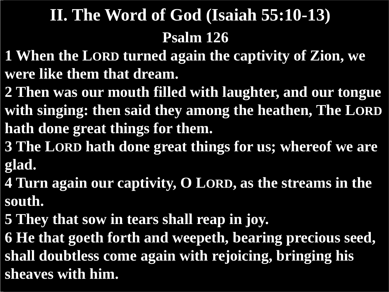# **Psalm 126 II. The Word of God (Isaiah 55:10-13)**

- **1 When the LORD turned again the captivity of Zion, we were like them that dream.**
- **2 Then was our mouth filled with laughter, and our tongue with singing: then said they among the heathen, The LORD hath done great things for them.**
- **3 The LORD hath done great things for us; whereof we are glad.**
- **4 Turn again our captivity, O LORD, as the streams in the south.**
- **5 They that sow in tears shall reap in joy.**
- **6 He that goeth forth and weepeth, bearing precious seed, shall doubtless come again with rejoicing, bringing his sheaves with him.**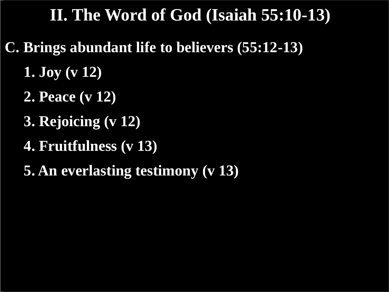- **C. Brings abundant life to believers (55:12-13)**
	- **1. Joy (v 12)**
	- **2. Peace (v 12)**
	- **3. Rejoicing (v 12)**
	- **4. Fruitfulness (v 13)**
	- **5. An everlasting testimony (v 13)**